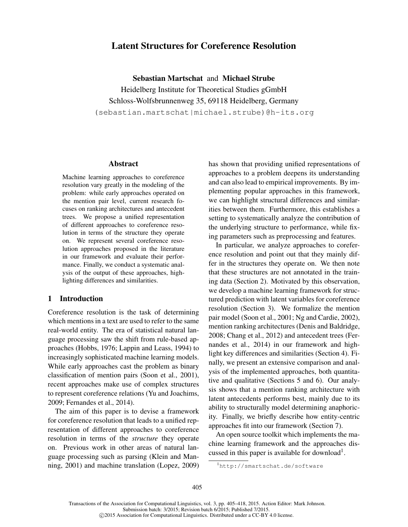# Latent Structures for Coreference Resolution

Sebastian Martschat and Michael Strube Heidelberg Institute for Theoretical Studies gGmbH Schloss-Wolfsbrunnenweg 35, 69118 Heidelberg, Germany (sebastian.martschat|michael.strube)@h-its.org

### Abstract

Machine learning approaches to coreference resolution vary greatly in the modeling of the problem: while early approaches operated on the mention pair level, current research focuses on ranking architectures and antecedent trees. We propose a unified representation of different approaches to coreference resolution in terms of the structure they operate on. We represent several coreference resolution approaches proposed in the literature in our framework and evaluate their performance. Finally, we conduct a systematic analysis of the output of these approaches, highlighting differences and similarities.

### 1 Introduction

Coreference resolution is the task of determining which mentions in a text are used to refer to the same real-world entity. The era of statistical natural language processing saw the shift from rule-based approaches (Hobbs, 1976; Lappin and Leass, 1994) to increasingly sophisticated machine learning models. While early approaches cast the problem as binary classification of mention pairs (Soon et al., 2001), recent approaches make use of complex structures to represent coreference relations (Yu and Joachims, 2009; Fernandes et al., 2014).

The aim of this paper is to devise a framework for coreference resolution that leads to a unified representation of different approaches to coreference resolution in terms of the *structure* they operate on. Previous work in other areas of natural language processing such as parsing (Klein and Manning, 2001) and machine translation (Lopez, 2009) has shown that providing unified representations of approaches to a problem deepens its understanding and can also lead to empirical improvements. By implementing popular approaches in this framework, we can highlight structural differences and similarities between them. Furthermore, this establishes a setting to systematically analyze the contribution of the underlying structure to performance, while fixing parameters such as preprocessing and features.

In particular, we analyze approaches to coreference resolution and point out that they mainly differ in the structures they operate on. We then note that these structures are not annotated in the training data (Section 2). Motivated by this observation, we develop a machine learning framework for structured prediction with latent variables for coreference resolution (Section 3). We formalize the mention pair model (Soon et al., 2001; Ng and Cardie, 2002), mention ranking architectures (Denis and Baldridge, 2008; Chang et al., 2012) and antecedent trees (Fernandes et al., 2014) in our framework and highlight key differences and similarities (Section 4). Finally, we present an extensive comparison and analysis of the implemented approaches, both quantitative and qualitative (Sections 5 and 6). Our analysis shows that a mention ranking architecture with latent antecedents performs best, mainly due to its ability to structurally model determining anaphoricity. Finally, we briefly describe how entity-centric approaches fit into our framework (Section 7).

An open source toolkit which implements the machine learning framework and the approaches discussed in this paper is available for download<sup>1</sup>.

<sup>1</sup>http://smartschat.de/software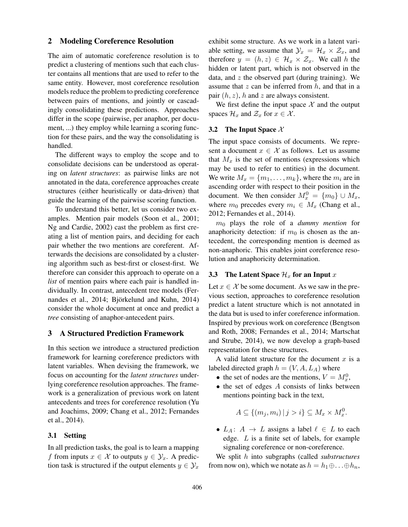### 2 Modeling Coreference Resolution

The aim of automatic coreference resolution is to predict a clustering of mentions such that each cluster contains all mentions that are used to refer to the same entity. However, most coreference resolution models reduce the problem to predicting coreference between pairs of mentions, and jointly or cascadingly consolidating these predictions. Approaches differ in the scope (pairwise, per anaphor, per document, ...) they employ while learning a scoring function for these pairs, and the way the consolidating is handled.

The different ways to employ the scope and to consolidate decisions can be understood as operating on *latent structures*: as pairwise links are not annotated in the data, coreference approaches create structures (either heuristically or data-driven) that guide the learning of the pairwise scoring function.

To understand this better, let us consider two examples. Mention pair models (Soon et al., 2001; Ng and Cardie, 2002) cast the problem as first creating a list of mention pairs, and deciding for each pair whether the two mentions are coreferent. Afterwards the decisions are consolidated by a clustering algorithm such as best-first or closest-first. We therefore can consider this approach to operate on a *list* of mention pairs where each pair is handled individually. In contrast, antecedent tree models (Fernandes et al., 2014; Björkelund and Kuhn, 2014) consider the whole document at once and predict a *tree* consisting of anaphor-antecedent pairs.

### 3 A Structured Prediction Framework

In this section we introduce a structured prediction framework for learning coreference predictors with latent variables. When devising the framework, we focus on accounting for the *latent structures* underlying coreference resolution approaches. The framework is a generalization of previous work on latent antecedents and trees for coreference resolution (Yu and Joachims, 2009; Chang et al., 2012; Fernandes et al., 2014).

### 3.1 Setting

In all prediction tasks, the goal is to learn a mapping f from inputs  $x \in \mathcal{X}$  to outputs  $y \in \mathcal{Y}_x$ . A prediction task is structured if the output elements  $y \in \mathcal{Y}_x$  exhibit some structure. As we work in a latent variable setting, we assume that  $\mathcal{Y}_x = \mathcal{H}_x \times \mathcal{Z}_x$ , and therefore  $y = (h, z) \in \mathcal{H}_x \times \mathcal{Z}_x$ . We call h the hidden or latent part, which is not observed in the data, and  $z$  the observed part (during training). We assume that  $z$  can be inferred from  $h$ , and that in a pair  $(h, z)$ , h and z are always consistent.

We first define the input space  $X$  and the output spaces  $\mathcal{H}_x$  and  $\mathcal{Z}_x$  for  $x \in \mathcal{X}$ .

#### 3.2 The Input Space  $\mathcal{X}$

The input space consists of documents. We represent a document  $x \in \mathcal{X}$  as follows. Let us assume that  $M_x$  is the set of mentions (expressions which may be used to refer to entities) in the document. We write  $M_x = \{m_1, \ldots, m_k\}$ , where the  $m_i$  are in ascending order with respect to their position in the document. We then consider  $M_x^0 = \{m_0\} \cup M_x$ , where  $m_0$  precedes every  $m_i \in M_x$  (Chang et al., 2012; Fernandes et al., 2014).

m<sup>0</sup> plays the role of a *dummy mention* for anaphoricity detection: if  $m_0$  is chosen as the antecedent, the corresponding mention is deemed as non-anaphoric. This enables joint coreference resolution and anaphoricity determination.

### 3.3 The Latent Space  $\mathcal{H}_x$  for an Input x

Let  $x \in \mathcal{X}$  be some document. As we saw in the previous section, approaches to coreference resolution predict a latent structure which is not annotated in the data but is used to infer coreference information. Inspired by previous work on coreference (Bengtson and Roth, 2008; Fernandes et al., 2014; Martschat and Strube, 2014), we now develop a graph-based representation for these structures.

A valid latent structure for the document  $x$  is a labeled directed graph  $h = (V, A, L_A)$  where

- the set of nodes are the mentions,  $V = M_x^0$ ,
- $\bullet$  the set of edges A consists of links between mentions pointing back in the text,

$$
A \subseteq \{(m_j, m_i) \mid j > i\} \subseteq M_x \times M_x^0.
$$

•  $L_A: A \rightarrow L$  assigns a label  $\ell \in L$  to each edge. L is a finite set of labels, for example signaling coreference or non-coreference.

We split h into subgraphs (called *substructures* from now on), which we notate as  $h = h_1 \oplus \ldots \oplus h_n$ ,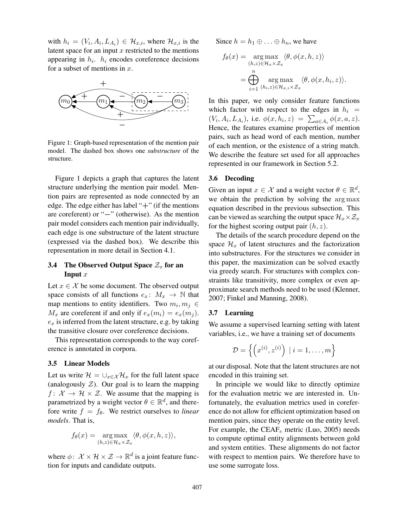with  $h_i = (V_i, A_i, L_{A_i}) \in \mathcal{H}_{x,i}$ , where  $\mathcal{H}_{x,i}$  is the latent space for an input  $x$  restricted to the mentions appearing in  $h_i$ .  $h_i$  encodes coreference decisions for a subset of mentions in  $x$ .



Figure 1: Graph-based representation of the mention pair model. The dashed box shows one *substructure* of the structure.

Figure 1 depicts a graph that captures the latent structure underlying the mention pair model. Mention pairs are represented as node connected by an edge. The edge either has label " $+$ " (if the mentions are coreferent) or "−" (otherwise). As the mention pair model considers each mention pair individually, each edge is one substructure of the latent structure (expressed via the dashed box). We describe this representation in more detail in Section 4.1.

### 3.4 The Observed Output Space  $\mathcal{Z}_x$  for an Input  $x$

Let  $x \in \mathcal{X}$  be some document. The observed output space consists of all functions  $e_x: M_x \to \mathbb{N}$  that map mentions to entity identifiers. Two  $m_i, m_j \in$  $M_x$  are coreferent if and only if  $e_x(m_i) = e_x(m_i)$ .  $e_x$  is inferred from the latent structure, e.g. by taking the transitive closure over coreference decisions.

This representation corresponds to the way coreference is annotated in corpora.

### 3.5 Linear Models

Let us write  $\mathcal{H} = \bigcup_{x \in \mathcal{X}} \mathcal{H}_x$  for the full latent space (analogously  $Z$ ). Our goal is to learn the mapping  $f: \mathcal{X} \to \mathcal{H} \times \mathcal{Z}$ . We assume that the mapping is parametrized by a weight vector  $\theta \in \mathbb{R}^d$ , and therefore write  $f = f_{\theta}$ . We restrict ourselves to *linear models*. That is,

$$
f_{\theta}(x) = \underset{(h,z)\in\mathcal{H}_x\times\mathcal{Z}_x}{\arg\max} \langle \theta, \phi(x, h, z) \rangle,
$$

where  $\phi: \mathcal{X} \times \mathcal{H} \times \mathcal{Z} \rightarrow \mathbb{R}^d$  is a joint feature function for inputs and candidate outputs.

Since  $h = h_1 \oplus \ldots \oplus h_n$ , we have

$$
f_{\theta}(x) = \underset{(h,z)\in\mathcal{H}_x\times\mathcal{Z}_x}{\arg\max} \langle \theta, \phi(x, h, z) \rangle
$$

$$
= \bigoplus_{i=1}^n \underset{(h_i,z)\in\mathcal{H}_{x,i}\times\mathcal{Z}_x}{\arg\max} \langle \theta, \phi(x, h_i, z) \rangle.
$$

In this paper, we only consider feature functions which factor with respect to the edges in  $h_i$  =  $(V_i, A_i, L_{A_i}),$  i.e.  $\phi(x, h_i, z) = \sum_{a \in A_i} \phi(x, a, z).$ Hence, the features examine properties of mention pairs, such as head word of each mention, number of each mention, or the existence of a string match. We describe the feature set used for all approaches represented in our framework in Section 5.2.

### 3.6 Decoding

Given an input  $x \in \mathcal{X}$  and a weight vector  $\theta \in \mathbb{R}^d$ , we obtain the prediction by solving the arg max equation described in the previous subsection. This can be viewed as searching the output space  $\mathcal{H}_x\times\mathcal{Z}_x$ for the highest scoring output pair  $(h, z)$ .

The details of the search procedure depend on the space  $\mathcal{H}_x$  of latent structures and the factorization into substructures. For the structures we consider in this paper, the maximization can be solved exactly via greedy search. For structures with complex constraints like transitivity, more complex or even approximate search methods need to be used (Klenner, 2007; Finkel and Manning, 2008).

### 3.7 Learning

We assume a supervised learning setting with latent variables, i.e., we have a training set of documents

$$
\mathcal{D} = \left\{ \left( x^{(i)}, z^{(i)} \right) \mid i = 1, \dots, m \right\}
$$

at our disposal. Note that the latent structures are not encoded in this training set.

In principle we would like to directly optimize for the evaluation metric we are interested in. Unfortunately, the evaluation metrics used in coreference do not allow for efficient optimization based on mention pairs, since they operate on the entity level. For example, the  $CEAF_e$  metric (Luo, 2005) needs to compute optimal entity alignments between gold and system entities. These alignments do not factor with respect to mention pairs. We therefore have to use some surrogate loss.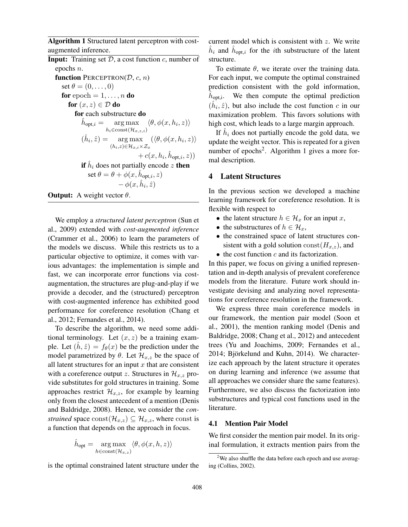Algorithm 1 Structured latent perceptron with costaugmented inference.

**Input:** Training set  $D$ , a cost function c, number of epochs n. function PERCEPTRON( $D, c, n$ ) set  $\theta = (0, \ldots, 0)$ for epoch  $= 1, \ldots, n$  do for  $(x, z) \in \mathcal{D}$  do for each substructure do  $\hat{h}_{\text{opt},i} = \arg\max_{\mathbf{x}} \langle \theta, \phi(x, h_i, z) \rangle$  $h_i \in \text{const}(\mathcal{H}_{x,z,i})$  $(\hat{h}_i, \hat{z}) = \arg \max$  $(h_i,z) \in \mathcal{H}_{x,i} \times \mathcal{Z}_x$  $(\langle \theta, \phi(x, h_i, z) \rangle)$  $+ c(x, h_i, \hat{h}_{opt,i}, z))$ if  $\hat{h}_i$  does not partially encode  $z$  then set  $\theta = \theta + \phi(x, \hat{h}_{opt,i}, z)$  $-\phi(x,\hat{h}_i,\hat{z})$ **Output:** A weight vector  $\theta$ .

We employ a *structured latent perceptron* (Sun et al., 2009) extended with *cost-augmented inference* (Crammer et al., 2006) to learn the parameters of the models we discuss. While this restricts us to a particular objective to optimize, it comes with various advantages: the implementation is simple and fast, we can incorporate error functions via costaugmentation, the structures are plug-and-play if we provide a decoder, and the (structured) perceptron with cost-augmented inference has exhibited good performance for coreference resolution (Chang et al., 2012; Fernandes et al., 2014).

To describe the algorithm, we need some additional terminology. Let  $(x, z)$  be a training example. Let  $(h, \hat{z}) = f_{\theta}(x)$  be the prediction under the model parametrized by  $\theta$ . Let  $\mathcal{H}_{x,z}$  be the space of all latent structures for an input  $x$  that are consistent with a coreference output z. Structures in  $\mathcal{H}_{x,z}$  provide substitutes for gold structures in training. Some approaches restrict  $\mathcal{H}_{x,z}$ , for example by learning only from the closest antecedent of a mention (Denis and Baldridge, 2008). Hence, we consider the *constrained* space const $(\mathcal{H}_{x,z}) \subseteq \mathcal{H}_{x,z}$ , where const is a function that depends on the approach in focus.

$$
\hat{h}_{\text{opt}} = \underset{h \in \text{const}(\mathcal{H}_{x,z})}{\arg\max} \langle \theta, \phi(x, h, z) \rangle
$$

is the optimal constrained latent structure under the

current model which is consistent with z. We write  $\hat{h}_i$  and  $\hat{h}_{\text{opt},i}$  for the *i*th substructure of the latent structure.

To estimate  $\theta$ , we iterate over the training data. For each input, we compute the optimal constrained prediction consistent with the gold information,  $h_{\text{opt,i}}$ . We then compute the optimal prediction  $(\hat{h}_i, \hat{z})$ , but also include the cost function c in our maximization problem. This favors solutions with high cost, which leads to a large margin approach.

If  $\hat{h}_i$  does not partially encode the gold data, we update the weight vector. This is repeated for a given number of epochs<sup>2</sup>. Algorithm 1 gives a more formal description.

### 4 Latent Structures

In the previous section we developed a machine learning framework for coreference resolution. It is flexible with respect to

- the latent structure  $h \in \mathcal{H}_x$  for an input x,
- the substructures of  $h \in \mathcal{H}_x$ ,
- the constrained space of latent structures consistent with a gold solution  $\text{const}(H_{x,z})$ , and
- $\bullet$  the cost function c and its factorization.

In this paper, we focus on giving a unified representation and in-depth analysis of prevalent coreference models from the literature. Future work should investigate devising and analyzing novel representations for coreference resolution in the framework.

We express three main coreference models in our framework, the mention pair model (Soon et al., 2001), the mention ranking model (Denis and Baldridge, 2008; Chang et al., 2012) and antecedent trees (Yu and Joachims, 2009; Fernandes et al.,  $2014$ ; Björkelund and Kuhn,  $2014$ ). We characterize each approach by the latent structure it operates on during learning and inference (we assume that all approaches we consider share the same features). Furthermore, we also discuss the factorization into substructures and typical cost functions used in the literature.

### 4.1 Mention Pair Model

We first consider the mention pair model. In its original formulation, it extracts mention pairs from the

<sup>&</sup>lt;sup>2</sup>We also shuffle the data before each epoch and use averaging (Collins, 2002).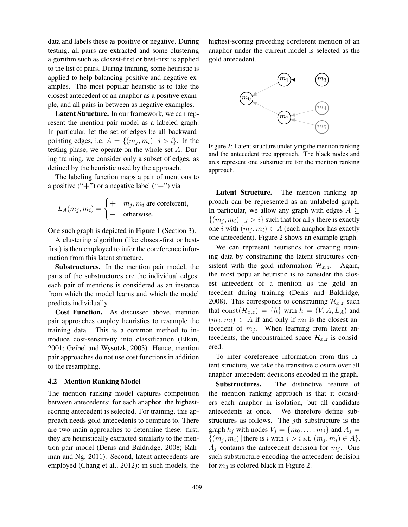data and labels these as positive or negative. During testing, all pairs are extracted and some clustering algorithm such as closest-first or best-first is applied to the list of pairs. During training, some heuristic is applied to help balancing positive and negative examples. The most popular heuristic is to take the closest antecedent of an anaphor as a positive example, and all pairs in between as negative examples.

Latent Structure. In our framework, we can represent the mention pair model as a labeled graph. In particular, let the set of edges be all backwardpointing edges, i.e.  $A = \{(m_i, m_i) | j > i\}$ . In the testing phase, we operate on the whole set A. During training, we consider only a subset of edges, as defined by the heuristic used by the approach.

The labeling function maps a pair of mentions to a positive ("+") or a negative label ("−") via

$$
L_A(m_j, m_i) = \begin{cases} + & m_j, m_i \text{ are coreferent,} \\ - & \text{otherwise.} \end{cases}
$$

One such graph is depicted in Figure 1 (Section 3).

A clustering algorithm (like closest-first or bestfirst) is then employed to infer the coreference information from this latent structure.

Substructures. In the mention pair model, the parts of the substructures are the individual edges: each pair of mentions is considered as an instance from which the model learns and which the model predicts individually.

Cost Function. As discussed above, mention pair approaches employ heuristics to resample the training data. This is a common method to introduce cost-sensitivity into classification (Elkan, 2001; Geibel and Wysotzk, 2003). Hence, mention pair approaches do not use cost functions in addition to the resampling.

### 4.2 Mention Ranking Model

The mention ranking model captures competition between antecedents: for each anaphor, the highestscoring antecedent is selected. For training, this approach needs gold antecedents to compare to. There are two main approaches to determine these: first, they are heuristically extracted similarly to the mention pair model (Denis and Baldridge, 2008; Rahman and Ng, 2011). Second, latent antecedents are employed (Chang et al., 2012): in such models, the highest-scoring preceding coreferent mention of an anaphor under the current model is selected as the gold antecedent.



Figure 2: Latent structure underlying the mention ranking and the antecedent tree approach. The black nodes and arcs represent one substructure for the mention ranking approach.

Latent Structure. The mention ranking approach can be represented as an unlabeled graph. In particular, we allow any graph with edges  $A \subseteq$  $\{(m_i, m_i) \mid j > i\}$  such that for all j there is exactly one *i* with  $(m_i, m_i) \in A$  (each anaphor has exactly one antecedent). Figure 2 shows an example graph.

We can represent heuristics for creating training data by constraining the latent structures consistent with the gold information  $\mathcal{H}_{x,z}$ . Again, the most popular heuristic is to consider the closest antecedent of a mention as the gold antecedent during training (Denis and Baldridge, 2008). This corresponds to constraining  $\mathcal{H}_{x,z}$  such that const $(\mathcal{H}_{x,z}) = \{h\}$  with  $h = (V, A, L_A)$  and  $(m_j, m_i) \in A$  if and only if  $m_i$  is the closest antecedent of  $m_j$ . When learning from latent antecedents, the unconstrained space  $\mathcal{H}_{x,z}$  is considered.

To infer coreference information from this latent structure, we take the transitive closure over all anaphor-antecedent decisions encoded in the graph.

Substructures. The distinctive feature of the mention ranking approach is that it considers each anaphor in isolation, but all candidate antecedents at once. We therefore define substructures as follows. The jth substructure is the graph  $h_i$  with nodes  $V_i = \{m_0, \ldots, m_i\}$  and  $A_i =$  $\{(m_i, m_i)|$  there is i with  $j > i$  s.t.  $(m_i, m_i) \in A\}$ .  $A_i$  contains the antecedent decision for  $m_i$ . One such substructure encoding the antecedent decision for  $m_3$  is colored black in Figure 2.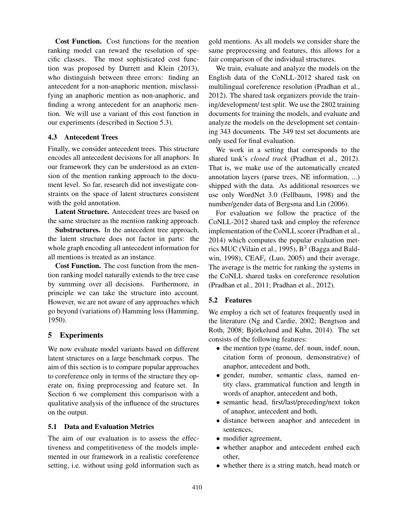Cost Function. Cost functions for the mention ranking model can reward the resolution of specific classes. The most sophisticated cost function was proposed by Durrett and Klein (2013), who distinguish between three errors: finding an antecedent for a non-anaphoric mention, misclassifying an anaphoric mention as non-anaphoric, and finding a wrong antecedent for an anaphoric mention. We will use a variant of this cost function in our experiments (described in Section 5.3).

### 4.3 Antecedent Trees

Finally, we consider antecedent trees. This structure encodes all antecedent decisions for all anaphors. In our framework they can be understood as an extension of the mention ranking approach to the document level. So far, research did not investigate constraints on the space of latent structures consistent with the gold annotation.

Latent Structure. Antecedent trees are based on the same structure as the mention ranking approach.

Substructures. In the antecedent tree approach, the latent structure does not factor in parts: the whole graph encoding all antecedent information for all mentions is treated as an instance.

Cost Function. The cost function from the mention ranking model naturally extends to the tree case by summing over all decisions. Furthermore, in principle we can take the structure into account. However, we are not aware of any approaches which go beyond (variations of) Hamming loss (Hamming, 1950).

## 5 Experiments

We now evaluate model variants based on different latent structures on a large benchmark corpus. The aim of this section is to compare popular approaches to coreference only in terms of the structure they operate on, fixing preprocessing and feature set. In Section 6 we complement this comparison with a qualitative analysis of the influence of the structures on the output.

### 5.1 Data and Evaluation Metrics

The aim of our evaluation is to assess the effectiveness and competitiveness of the models implemented in our framework in a realistic coreference setting, i.e. without using gold information such as gold mentions. As all models we consider share the same preprocessing and features, this allows for a fair comparison of the individual structures.

We train, evaluate and analyze the models on the English data of the CoNLL-2012 shared task on multilingual coreference resolution (Pradhan et al., 2012). The shared task organizers provide the training/development/ test split. We use the 2802 training documents for training the models, and evaluate and analyze the models on the development set containing 343 documents. The 349 test set documents are only used for final evaluation.

We work in a setting that corresponds to the shared task's *closed track* (Pradhan et al., 2012). That is, we make use of the automatically created annotation layers (parse trees, NE information, ...) shipped with the data. As additional resources we use only WordNet 3.0 (Fellbaum, 1998) and the number/gender data of Bergsma and Lin (2006).

For evaluation we follow the practice of the CoNLL-2012 shared task and employ the reference implementation of the CoNLL scorer (Pradhan et al., 2014) which computes the popular evaluation metrics MUC (Vilain et al., 1995),  $B^3$  (Bagga and Baldwin, 1998),  $CEAF_e$  (Luo, 2005) and their average. The average is the metric for ranking the systems in the CoNLL shared tasks on coreference resolution (Pradhan et al., 2011; Pradhan et al., 2012).

### 5.2 Features

We employ a rich set of features frequently used in the literature (Ng and Cardie, 2002; Bengtson and Roth, 2008; Björkelund and Kuhn, 2014). The set consists of the following features:

- the mention type (name, def. noun, indef. noun, citation form of pronoun, demonstrative) of anaphor, antecedent and both,
- gender, number, semantic class, named entity class, grammatical function and length in words of anaphor, antecedent and both,
- semantic head, first/last/preceding/next token of anaphor, antecedent and both,
- distance between anaphor and antecedent in sentences,
- modifier agreement,
- whether anaphor and antecedent embed each other,
- whether there is a string match, head match or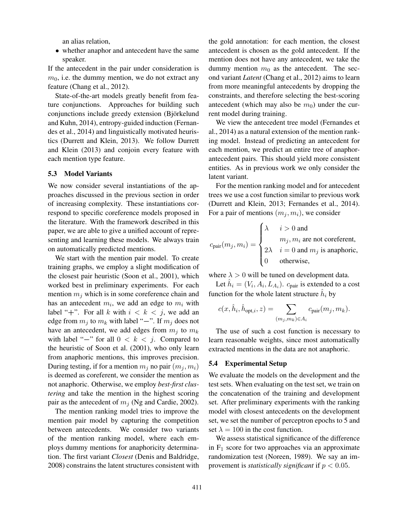an alias relation,

• whether anaphor and antecedent have the same speaker.

If the antecedent in the pair under consideration is  $m<sub>0</sub>$ , i.e. the dummy mention, we do not extract any feature (Chang et al., 2012).

State-of-the-art models greatly benefit from feature conjunctions. Approaches for building such conjunctions include greedy extension (Björkelund and Kuhn, 2014), entropy-guided induction (Fernandes et al., 2014) and linguistically motivated heuristics (Durrett and Klein, 2013). We follow Durrett and Klein (2013) and conjoin every feature with each mention type feature.

#### 5.3 Model Variants

We now consider several instantiations of the approaches discussed in the previous section in order of increasing complexity. These instantiations correspond to specific coreference models proposed in the literature. With the framework described in this paper, we are able to give a unified account of representing and learning these models. We always train on automatically predicted mentions.

We start with the mention pair model. To create training graphs, we employ a slight modification of the closest pair heuristic (Soon et al., 2001), which worked best in preliminary experiments. For each mention  $m_i$  which is in some coreference chain and has an antecedent  $m_i$ , we add an edge to  $m_i$  with label "+". For all k with  $i < k < j$ , we add an edge from  $m_j$  to  $m_k$  with label "−". If  $m_j$  does not have an antecedent, we add edges from  $m_i$  to  $m_k$ with label "−" for all  $0 < k < j$ . Compared to the heuristic of Soon et al. (2001), who only learn from anaphoric mentions, this improves precision. During testing, if for a mention  $m_i$  no pair  $(m_i, m_i)$ is deemed as coreferent, we consider the mention as not anaphoric. Otherwise, we employ *best-first clustering* and take the mention in the highest scoring pair as the antecedent of  $m_i$  (Ng and Cardie, 2002).

The mention ranking model tries to improve the mention pair model by capturing the competition between antecedents. We consider two variants of the mention ranking model, where each employs dummy mentions for anaphoricity determination. The first variant *Closest* (Denis and Baldridge, 2008) constrains the latent structures consistent with the gold annotation: for each mention, the closest antecedent is chosen as the gold antecedent. If the mention does not have any antecedent, we take the dummy mention  $m_0$  as the antecedent. The second variant *Latent* (Chang et al., 2012) aims to learn from more meaningful antecedents by dropping the constraints, and therefore selecting the best-scoring antecedent (which may also be  $m_0$ ) under the current model during training.

We view the antecedent tree model (Fernandes et al., 2014) as a natural extension of the mention ranking model. Instead of predicting an antecedent for each mention, we predict an entire tree of anaphorantecedent pairs. This should yield more consistent entities. As in previous work we only consider the latent variant.

For the mention ranking model and for antecedent trees we use a cost function similar to previous work (Durrett and Klein, 2013; Fernandes et al., 2014). For a pair of mentions  $(m_i, m_i)$ , we consider

$$
c_{\text{pair}}(m_j,m_i) = \begin{cases} \lambda & i > 0 \text{ and} \\ & m_j,m_i \text{ are not coreferent,} \\ 2\lambda & i = 0 \text{ and } m_j \text{ is anaphoric,} \\ 0 & \text{otherwise,} \end{cases}
$$

where  $\lambda > 0$  will be tuned on development data.

Let  $\hat{h}_i = (V_i, A_i, L_{A_i})$ .  $c_{\text{pair}}$  is extended to a cost function for the whole latent structure  $\hat{h}_i$  by

$$
c(x, \hat{h}_i, \hat{h}_{\text{opt},i}, z) = \sum_{(m_j, m_k) \in A_i} c_{\text{pair}}(m_j, m_k).
$$

The use of such a cost function is necessary to learn reasonable weights, since most automatically extracted mentions in the data are not anaphoric.

### 5.4 Experimental Setup

We evaluate the models on the development and the test sets. When evaluating on the test set, we train on the concatenation of the training and development set. After preliminary experiments with the ranking model with closest antecedents on the development set, we set the number of perceptron epochs to 5 and set  $\lambda = 100$  in the cost function.

We assess statistical significance of the difference in  $F_1$  score for two approaches via an approximate randomization test (Noreen, 1989). We say an improvement is *statistically significant* if  $p < 0.05$ .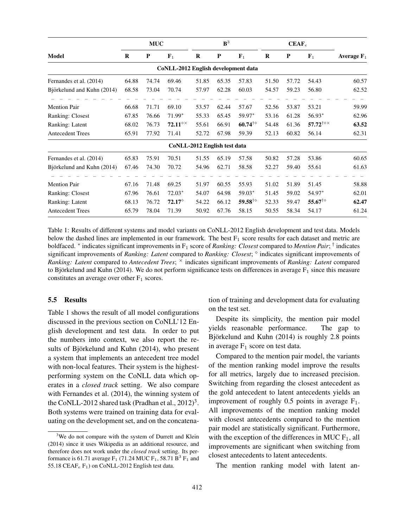|                            | <b>MUC</b> |           |                                     | $\mathbf{B}^3$ |           |                                       | $CEAF_e$ |       |                                       |               |  |
|----------------------------|------------|-----------|-------------------------------------|----------------|-----------|---------------------------------------|----------|-------|---------------------------------------|---------------|--|
| Model                      | $\bf{R}$   | ${\bf P}$ | $\mathbf{F}_1$                      |                | ${\bf P}$ | $\mathbf{F}_1$                        | $\bf{R}$ | P     | $\mathbf{F}_1$                        | Average $F_1$ |  |
|                            |            |           | CoNLL-2012 English development data |                |           |                                       |          |       |                                       |               |  |
| Fernandes et al. (2014)    | 64.88      | 74.74     | 69.46                               | 51.85          | 65.35     | 57.83                                 | 51.50    | 57.72 | 54.43                                 | 60.57         |  |
| Björkelund and Kuhn (2014) | 68.58      | 73.04     | 70.74                               | 57.97          | 62.28     | 60.03                                 | 54.57    | 59.23 | 56.80                                 | 62.52         |  |
| <b>Mention Pair</b>        | 66.68      | 71.71     | 69.10                               | 53.57          | 62.44     | 57.67                                 | 52.56    | 53.87 | 53.21                                 | 59.99         |  |
| Ranking: Closest           | 67.85      | 76.66     | 71.99*                              | 55.33          | 65.45     | 59.97*                                | 53.16    | 61.28 | 56.93*                                | 62.96         |  |
| Ranking: Latent            | 68.02      | 76.73     | $72.11^{\circ}$                     | 55.61          | 66.91     | $60.74^{°}$                           | 54.48    | 61.36 | 57.72 $\dots$                         | 63.52         |  |
| <b>Antecedent Trees</b>    | 65.91      | 77.92     | 71.41                               | 52.72          | 67.98     | 59.39                                 | 52.13    | 60.82 | 56.14                                 | 62.31         |  |
|                            |            |           | CoNLL-2012 English test data        |                |           |                                       |          |       |                                       |               |  |
| Fernandes et al. (2014)    | 65.83      | 75.91     | 70.51                               | 51.55          | 65.19     | 57.58                                 | 50.82    | 57.28 | 53.86                                 | 60.65         |  |
| Björkelund and Kuhn (2014) | 67.46      | 74.30     | 70.72                               | 54.96          | 62.71     | 58.58                                 | 52.27    | 59.40 | 55.61                                 | 61.63         |  |
| <b>Mention Pair</b>        | 67.16      | 71.48     | 69.25                               | 51.97          | 60.55     | 55.93                                 | 51.02    | 51.89 | 51.45                                 | 58.88         |  |
| Ranking: Closest           | 67.96      | 76.61     | $72.03*$                            | 54.07          | 64.98     | 59.03*                                | 51.45    | 59.02 | 54.97*                                | 62.01         |  |
| Ranking: Latent            | 68.13      | 76.72     | $72.17^\circ$                       | 54.22          | 66.12     | 59.58 <sup><math>\dagger</math></sup> | 52.33    | 59.47 | 55.67 <sup><math>\dagger</math></sup> | 62.47         |  |
| <b>Antecedent Trees</b>    | 65.79      | 78.04     | 71.39                               | 50.92          | 67.76     | 58.15                                 | 50.55    | 58.34 | 54.17                                 | 61.24         |  |

Table 1: Results of different systems and model variants on CoNLL-2012 English development and test data. Models below the dashed lines are implemented in our framework. The best  $F_1$  score results for each dataset and metric are boldfaced. <sup>∗</sup> indicates significant improvements in F<sup>1</sup> score of *Ranking: Closest* compared to *Mention Pair*; † indicates significant improvements of *Ranking: Latent* compared to *Ranking: Closest*;  $\circ$  indicates significant improvements of *Ranking: Latent* compared to *Antecedent Trees*; <sup>×</sup> indicates significant improvements of *Ranking: Latent* compared to Björkelund and Kuhn (2014). We do not perform significance tests on differences in average  $F_1$  since this measure constitutes an average over other  $F_1$  scores.

### 5.5 Results

Table 1 shows the result of all model configurations discussed in the previous section on CoNLL'12 English development and test data. In order to put the numbers into context, we also report the results of Björkelund and Kuhn  $(2014)$ , who present a system that implements an antecedent tree model with non-local features. Their system is the highestperforming system on the CoNLL data which operates in a *closed track* setting. We also compare with Fernandes et al. (2014), the winning system of the CoNLL-2012 shared task (Pradhan et al.,  $2012$ )<sup>3</sup>. Both systems were trained on training data for evaluating on the development set, and on the concatenation of training and development data for evaluating on the test set.

Despite its simplicity, the mention pair model yields reasonable performance. The gap to Björkelund and Kuhn (2014) is roughly 2.8 points in average  $F_1$  score on test data.

Compared to the mention pair model, the variants of the mention ranking model improve the results for all metrics, largely due to increased precision. Switching from regarding the closest antecedent as the gold antecedent to latent antecedents yields an improvement of roughly  $0.5$  points in average  $F_1$ . All improvements of the mention ranking model with closest antecedents compared to the mention pair model are statistically significant. Furthermore, with the exception of the differences in MUC  $F_1$ , all improvements are significant when switching from closest antecedents to latent antecedents.

The mention ranking model with latent an-

<sup>&</sup>lt;sup>3</sup>We do not compare with the system of Durrett and Klein (2014) since it uses Wikipedia as an additional resource, and therefore does not work under the *closed track* setting. Its performance is 61.71 average  $F_1$  (71.24 MUC  $F_1$ , 58.71  $B^3$   $F_1$  and 55.18 CEAF $_e$  F<sub>1</sub>) on CoNLL-2012 English test data.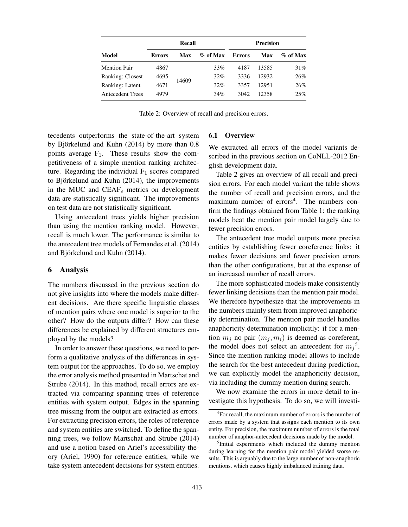|                     |               | Recall |             | <b>Precision</b> |       |             |  |  |
|---------------------|---------------|--------|-------------|------------------|-------|-------------|--|--|
| Model               | <b>Errors</b> | Max    | $\%$ of Max | <b>Errors</b>    | Max   | $\%$ of Max |  |  |
| <b>Mention Pair</b> | 4867          | 14609  | 33%         | 4187             | 13585 | 31%         |  |  |
| Ranking: Closest    | 4695          |        | 32%         | 3336             | 12932 | 26%         |  |  |
| Ranking: Latent     | 4671          |        | 32%         | 3357             | 12951 | 26%         |  |  |
| Antecedent Trees    | 4979          |        | 34%         | 3042             | 12358 | 25%         |  |  |

Table 2: Overview of recall and precision errors.

tecedents outperforms the state-of-the-art system by Björkelund and Kuhn  $(2014)$  by more than  $0.8$ points average  $F_1$ . These results show the competitiveness of a simple mention ranking architecture. Regarding the individual  $F_1$  scores compared to Björkelund and Kuhn  $(2014)$ , the improvements in the MUC and  $CEAF_e$  metrics on development data are statistically significant. The improvements on test data are not statistically significant.

Using antecedent trees yields higher precision than using the mention ranking model. However, recall is much lower. The performance is similar to the antecedent tree models of Fernandes et al. (2014) and Björkelund and Kuhn (2014).

### 6 Analysis

The numbers discussed in the previous section do not give insights into where the models make different decisions. Are there specific linguistic classes of mention pairs where one model is superior to the other? How do the outputs differ? How can these differences be explained by different structures employed by the models?

In order to answer these questions, we need to perform a qualitative analysis of the differences in system output for the approaches. To do so, we employ the error analysis method presented in Martschat and Strube (2014). In this method, recall errors are extracted via comparing spanning trees of reference entities with system output. Edges in the spanning tree missing from the output are extracted as errors. For extracting precision errors, the roles of reference and system entities are switched. To define the spanning trees, we follow Martschat and Strube (2014) and use a notion based on Ariel's accessibility theory (Ariel, 1990) for reference entities, while we take system antecedent decisions for system entities.

### 6.1 Overview

We extracted all errors of the model variants described in the previous section on CoNLL-2012 English development data.

Table 2 gives an overview of all recall and precision errors. For each model variant the table shows the number of recall and precision errors, and the maximum number of errors<sup>4</sup>. The numbers confirm the findings obtained from Table 1: the ranking models beat the mention pair model largely due to fewer precision errors.

The antecedent tree model outputs more precise entities by establishing fewer coreference links: it makes fewer decisions and fewer precision errors than the other configurations, but at the expense of an increased number of recall errors.

The more sophisticated models make consistently fewer linking decisions than the mention pair model. We therefore hypothesize that the improvements in the numbers mainly stem from improved anaphoricity determination. The mention pair model handles anaphoricity determination implicitly: if for a mention  $m_i$  no pair  $(m_i, m_i)$  is deemed as coreferent, the model does not select an antecedent for  $m_j^5$ . Since the mention ranking model allows to include the search for the best antecedent during prediction, we can explicitly model the anaphoricity decision, via including the dummy mention during search.

We now examine the errors in more detail to investigate this hypothesis. To do so, we will investi-

<sup>4</sup> For recall, the maximum number of errors is the number of errors made by a system that assigns each mention to its own entity. For precision, the maximum number of errors is the total number of anaphor-antecedent decisions made by the model.

<sup>5</sup> Initial experiments which included the dummy mention during learning for the mention pair model yielded worse results. This is arguably due to the large number of non-anaphoric mentions, which causes highly imbalanced training data.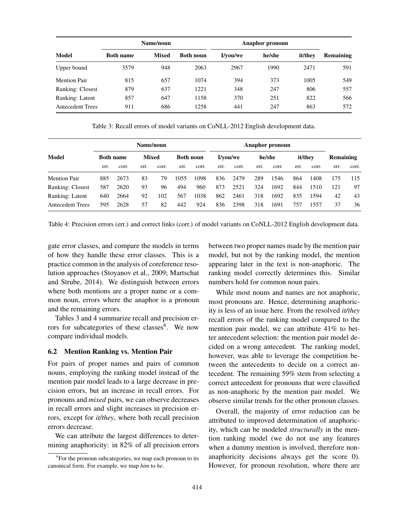|                         |                  | Name/noun    |                  | Anaphor pronoun |        |         |           |
|-------------------------|------------------|--------------|------------------|-----------------|--------|---------|-----------|
| Model                   | <b>Both name</b> | <b>Mixed</b> | <b>Both noun</b> | I/vou/we        | he/she | it/they | Remaining |
| Upper bound             | 3579             | 948          | 2063             | 2967            | 1990   | 2471    | 591       |
| <b>Mention Pair</b>     | 815              | 657          | 1074             | 394             | 373    | 1005    | 549       |
| Ranking: Closest        | 879              | 637          | 1221             | 348             | 247    | 806     | 557       |
| Ranking: Latent         | 857              | 647          | 1158             | 370             | 251    | 822     | 566       |
| <b>Antecedent Trees</b> | 911              | 686          | 1258             | 441             | 247    | 863     | 572       |

Table 3: Recall errors of model variants on CoNLL-2012 English development data.

|                         | Name/noun        |       |      |              |      |                  | Anaphor pronoun |          |      |        |      |         |      |           |  |
|-------------------------|------------------|-------|------|--------------|------|------------------|-----------------|----------|------|--------|------|---------|------|-----------|--|
| Model                   | <b>Both name</b> |       |      | <b>Mixed</b> |      | <b>Both noun</b> |                 | I/vou/we |      | he/she |      | it/they |      | Remaining |  |
|                         | err.             | corr. | err. | corr.        | err. | corr.            | err.            | corr.    | err. | corr.  | err. | corr.   | err. | corr.     |  |
| <b>Mention Pair</b>     | 885              | 2673  | 83   | 79           | 1055 | 1098             | 836             | 2479     | 289  | 1546   | 864  | 1408    | 175  | 115       |  |
| Ranking: Closest        | 587              | 2620  | 93   | 96           | 494  | 960              | 873             | 2521     | 324  | 1692   | 844  | 1510    | 121  | 97        |  |
| Ranking: Latent         | 640              | 2664  | 92   | 102          | 567  | 1038             | 862             | 2461     | 318  | 1692   | 835  | 1594    | 42   | 43        |  |
| <b>Antecedent Trees</b> | 595              | 2628  | 57   | 82           | 442  | 924              | 836             | 2398     | 318  | 1691   | 757  | 1557    | 37   | 36        |  |

Table 4: Precision errors (err.) and correct links (corr.) of model variants on CoNLL-2012 English development data.

gate error classes, and compare the models in terms of how they handle these error classes. This is a practice common in the analysis of coreference resolution approaches (Stoyanov et al., 2009; Martschat and Strube, 2014). We distinguish between errors where both mentions are a proper name or a common noun, errors where the anaphor is a pronoun and the remaining errors.

Tables 3 and 4 summarize recall and precision errors for subcategories of these classes<sup>6</sup>. We now compare individual models.

### 6.2 Mention Ranking vs. Mention Pair

For pairs of proper names and pairs of common nouns, employing the ranking model instead of the mention pair model leads to a large decrease in precision errors, but an increase in recall errors. For pronouns and *mixed* pairs, we can observe decreases in recall errors and slight increases in precision errors, except for *it/they*, where both recall precision errors decrease.

We can attribute the largest differences to determining anaphoricity: in 82% of all precision errors between two proper names made by the mention pair model, but not by the ranking model, the mention appearing later in the text is non-anaphoric. The ranking model correctly determines this. Similar numbers hold for common noun pairs.

While most nouns and names are not anaphoric, most pronouns are. Hence, determining anaphoricity is less of an issue here. From the resolved *it/they* recall errors of the ranking model compared to the mention pair model, we can attribute 41% to better antecedent selection: the mention pair model decided on a wrong antecedent. The ranking model, however, was able to leverage the competition between the antecedents to decide on a correct antecedent. The remaining 59% stem from selecting a correct antecedent for pronouns that were classified as non-anaphoric by the mention pair model. We observe similar trends for the other pronoun classes.

Overall, the majority of error reduction can be attributed to improved determination of anaphoricity, which can be modeled *structurally* in the mention ranking model (we do not use any features when a dummy mention is involved, therefore nonanaphoricity decisions always get the score 0). However, for pronoun resolution, where there are

<sup>&</sup>lt;sup>6</sup>For the pronoun subcategories, we map each pronoun to its canonical form. For example, we map *him* to *he*.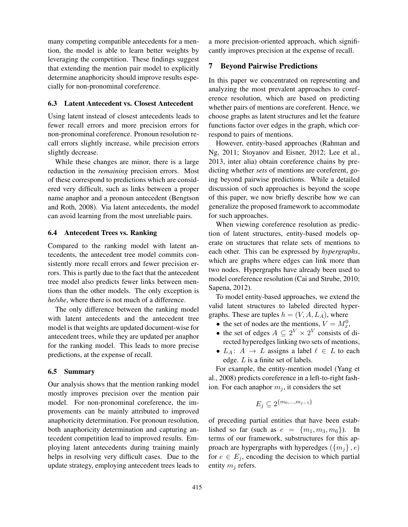many competing compatible antecedents for a mention, the model is able to learn better weights by leveraging the competition. These findings suggest that extending the mention pair model to explicitly determine anaphoricity should improve results especially for non-pronominal coreference.

#### 6.3 Latent Antecedent vs. Closest Antecedent

Using latent instead of closest antecedents leads to fewer recall errors and more precision errors for non-pronominal coreference. Pronoun resolution recall errors slightly increase, while precision errors slightly decrease.

While these changes are minor, there is a large reduction in the *remaining* precision errors. Most of these correspond to predictions which are considered very difficult, such as links between a proper name anaphor and a pronoun antecedent (Bengtson and Roth, 2008). Via latent antecedents, the model can avoid learning from the most unreliable pairs.

#### 6.4 Antecedent Trees vs. Ranking

Compared to the ranking model with latent antecedents, the antecedent tree model commits consistently more recall errors and fewer precision errors. This is partly due to the fact that the antecedent tree model also predicts fewer links between mentions than the other models. The only exception is *he/she*, where there is not much of a difference.

The only difference between the ranking model with latent antecedents and the antecedent tree model is that weights are updated document-wise for antecedent trees, while they are updated per anaphor for the ranking model. This leads to more precise predictions, at the expense of recall.

### 6.5 Summary

Our analysis shows that the mention ranking model mostly improves precision over the mention pair model. For non-pronominal coreference, the improvements can be mainly attributed to improved anaphoricity determination. For pronoun resolution, both anaphoricity determination and capturing antecedent competition lead to improved results. Employing latent antecedents during training mainly helps in resolving very difficult cases. Due to the update strategy, employing antecedent trees leads to

a more precision-oriented approach, which significantly improves precision at the expense of recall.

### 7 Beyond Pairwise Predictions

In this paper we concentrated on representing and analyzing the most prevalent approaches to coreference resolution, which are based on predicting whether pairs of mentions are coreferent. Hence, we choose graphs as latent structures and let the feature functions factor over edges in the graph, which correspond to pairs of mentions.

However, entity-based approaches (Rahman and Ng, 2011; Stoyanov and Eisner, 2012; Lee et al., 2013, inter alia) obtain coreference chains by predicting whether *sets* of mentions are coreferent, going beyond pairwise predictions. While a detailed discussion of such approaches is beyond the scope of this paper, we now briefly describe how we can generalize the proposed framework to accommodate for such approaches.

When viewing coreference resolution as prediction of latent structures, entity-based models operate on structures that relate sets of mentions to each other. This can be expressed by *hypergraphs*, which are graphs where edges can link more than two nodes. Hypergraphs have already been used to model coreference resolution (Cai and Strube, 2010; Sapena, 2012).

To model entity-based approaches, we extend the valid latent structures to labeled directed hypergraphs. These are tuples  $h = (V, A, L_A)$ , where

- the set of nodes are the mentions,  $V = M_x^0$ ,
- the set of edges  $A \subseteq 2^V \times 2^V$  consists of directed hyperedges linking two sets of mentions,
- $L_A: A \rightarrow L$  assigns a label  $\ell \in L$  to each edge. L is a finite set of labels.

For example, the entity-mention model (Yang et al., 2008) predicts coreference in a left-to-right fashion. For each anaphor  $m_j$ , it considers the set

$$
E_j \subseteq 2^{\{m_0, \ldots, m_{j-1}\}}
$$

of preceding partial entities that have been established so far (such as  $e = \{m_1, m_3, m_6\}$ ). In terms of our framework, substructures for this approach are hypergraphs with hyperedges  $({m_i}, e)$ for  $e \in E_i$ , encoding the decision to which partial entity  $m_i$  refers.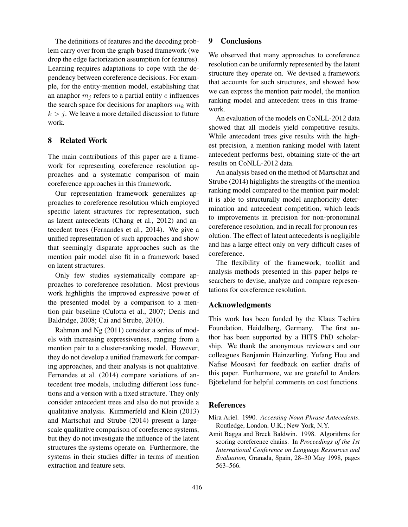The definitions of features and the decoding problem carry over from the graph-based framework (we drop the edge factorization assumption for features). Learning requires adaptations to cope with the dependency between coreference decisions. For example, for the entity-mention model, establishing that an anaphor  $m_i$  refers to a partial entity e influences the search space for decisions for anaphors  $m_k$  with  $k > j$ . We leave a more detailed discussion to future work.

### 8 Related Work

The main contributions of this paper are a framework for representing coreference resolution approaches and a systematic comparison of main coreference approaches in this framework.

Our representation framework generalizes approaches to coreference resolution which employed specific latent structures for representation, such as latent antecedents (Chang et al., 2012) and antecedent trees (Fernandes et al., 2014). We give a unified representation of such approaches and show that seemingly disparate approaches such as the mention pair model also fit in a framework based on latent structures.

Only few studies systematically compare approaches to coreference resolution. Most previous work highlights the improved expressive power of the presented model by a comparison to a mention pair baseline (Culotta et al., 2007; Denis and Baldridge, 2008; Cai and Strube, 2010).

Rahman and Ng (2011) consider a series of models with increasing expressiveness, ranging from a mention pair to a cluster-ranking model. However, they do not develop a unified framework for comparing approaches, and their analysis is not qualitative. Fernandes et al. (2014) compare variations of antecedent tree models, including different loss functions and a version with a fixed structure. They only consider antecedent trees and also do not provide a qualitative analysis. Kummerfeld and Klein (2013) and Martschat and Strube (2014) present a largescale qualitative comparison of coreference systems, but they do not investigate the influence of the latent structures the systems operate on. Furthermore, the systems in their studies differ in terms of mention extraction and feature sets.

# 9 Conclusions

We observed that many approaches to coreference resolution can be uniformly represented by the latent structure they operate on. We devised a framework that accounts for such structures, and showed how we can express the mention pair model, the mention ranking model and antecedent trees in this framework.

An evaluation of the models on CoNLL-2012 data showed that all models yield competitive results. While antecedent trees give results with the highest precision, a mention ranking model with latent antecedent performs best, obtaining state-of-the-art results on CoNLL-2012 data.

An analysis based on the method of Martschat and Strube (2014) highlights the strengths of the mention ranking model compared to the mention pair model: it is able to structurally model anaphoricity determination and antecedent competition, which leads to improvements in precision for non-pronominal coreference resolution, and in recall for pronoun resolution. The effect of latent antecedents is negligible and has a large effect only on very difficult cases of coreference.

The flexibility of the framework, toolkit and analysis methods presented in this paper helps researchers to devise, analyze and compare representations for coreference resolution.

### Acknowledgments

This work has been funded by the Klaus Tschira Foundation, Heidelberg, Germany. The first author has been supported by a HITS PhD scholarship. We thank the anonymous reviewers and our colleagues Benjamin Heinzerling, Yufang Hou and Nafise Moosavi for feedback on earlier drafts of this paper. Furthermore, we are grateful to Anders Björkelund for helpful comments on cost functions.

### References

Mira Ariel. 1990. *Accessing Noun Phrase Antecedents*. Routledge, London, U.K.; New York, N.Y.

Amit Bagga and Breck Baldwin. 1998. Algorithms for scoring coreference chains. In *Proceedings of the 1st International Conference on Language Resources and Evaluation,* Granada, Spain, 28–30 May 1998, pages 563–566.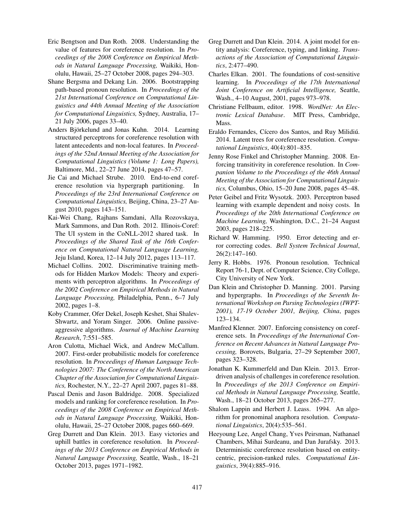- Eric Bengtson and Dan Roth. 2008. Understanding the value of features for coreference resolution. In *Proceedings of the 2008 Conference on Empirical Methods in Natural Language Processing,* Waikiki, Honolulu, Hawaii, 25–27 October 2008, pages 294–303.
- Shane Bergsma and Dekang Lin. 2006. Bootstrapping path-based pronoun resolution. In *Proceedings of the 21st International Conference on Computational Linguistics and 44th Annual Meeting of the Association for Computational Linguistics,* Sydney, Australia, 17– 21 July 2006, pages 33–40.
- Anders Björkelund and Jonas Kuhn. 2014. Learning structured perceptrons for coreference resolution with latent antecedents and non-local features. In *Proceedings of the 52nd Annual Meeting of the Association for Computational Linguistics (Volume 1: Long Papers),* Baltimore, Md., 22–27 June 2014, pages 47–57.
- Jie Cai and Michael Strube. 2010. End-to-end coreference resolution via hypergraph partitioning. In *Proceedings of the 23rd International Conference on Computational Linguistics,* Beijing, China, 23–27 August 2010, pages 143–151.
- Kai-Wei Chang, Rajhans Samdani, Alla Rozovskaya, Mark Sammons, and Dan Roth. 2012. Illinois-Coref: The UI system in the CoNLL-2012 shared task. In *Proceedings of the Shared Task of the 16th Conference on Computational Natural Language Learning,* Jeju Island, Korea, 12–14 July 2012, pages 113–117.
- Michael Collins. 2002. Discriminative training methods for Hidden Markov Models: Theory and experiments with perceptron algorithms. In *Proceedings of the 2002 Conference on Empirical Methods in Natural Language Processing,* Philadelphia, Penn., 6–7 July 2002, pages 1–8.
- Koby Crammer, Ofer Dekel, Joseph Keshet, Shai Shalev-Shwartz, and Yoram Singer. 2006. Online passiveaggressive algorithms. *Journal of Machine Learning Research*, 7:551–585.
- Aron Culotta, Michael Wick, and Andrew McCallum. 2007. First-order probabilistic models for coreference resolution. In *Proceedings of Human Language Technologies 2007: The Conference of the North American Chapter of the Association for Computational Linguistics,* Rochester, N.Y., 22–27 April 2007, pages 81–88.
- Pascal Denis and Jason Baldridge. 2008. Specialized models and ranking for coreference resolution. In *Proceedings of the 2008 Conference on Empirical Methods in Natural Language Processing,* Waikiki, Honolulu, Hawaii, 25–27 October 2008, pages 660–669.
- Greg Durrett and Dan Klein. 2013. Easy victories and uphill battles in coreference resolution. In *Proceedings of the 2013 Conference on Empirical Methods in Natural Language Processing,* Seattle, Wash., 18–21 October 2013, pages 1971–1982.
- Greg Durrett and Dan Klein. 2014. A joint model for entity analysis: Coreference, typing, and linking. *Transactions of the Association of Computational Linguistics*, 2:477–490.
- Charles Elkan. 2001. The foundations of cost-sensitive learning. In *Proceedings of the 17th International Joint Conference on Artificial Intelligence,* Seattle, Wash., 4–10 August, 2001, pages 973–978.
- Christiane Fellbaum, editor. 1998. *WordNet: An Electronic Lexical Database*. MIT Press, Cambridge, Mass.
- Eraldo Fernandes, Cícero dos Santos, and Ruy Milidiú. 2014. Latent trees for coreference resolution. *Computational Linguistics*, 40(4):801–835.
- Jenny Rose Finkel and Christopher Manning. 2008. Enforcing transitivity in coreference resolution. In *Companion Volume to the Proceedings of the 46th Annual Meeting of the Association for Computational Linguistics,* Columbus, Ohio, 15–20 June 2008, pages 45–48.
- Peter Geibel and Fritz Wysotzk. 2003. Perceptron based learning with example dependent and noisy costs. In *Proceedings of the 20th International Conference on Machine Learning,* Washington, D.C., 21–24 August 2003, pages 218–225.
- Richard W. Hamming. 1950. Error detecting and error correcting codes. *Bell System Technical Journal*, 26(2):147–160.
- Jerry R. Hobbs. 1976. Pronoun resolution. Technical Report 76-1, Dept. of Computer Science, City College, City University of New York.
- Dan Klein and Christopher D. Manning. 2001. Parsing and hypergraphs. In *Proceedings of the Seventh International Workshop on Parsing Technologies (IWPT-2001), 17-19 October 2001, Beijing, China*, pages 123–134.
- Manfred Klenner. 2007. Enforcing consistency on coreference sets. In *Proceedings of the International Conference on Recent Advances in Natural Language Processing,* Borovets, Bulgaria, 27–29 September 2007, pages 323–328.
- Jonathan K. Kummerfeld and Dan Klein. 2013. Errordriven analysis of challenges in coreference resolution. In *Proceedings of the 2013 Conference on Empirical Methods in Natural Language Processing,* Seattle, Wash., 18–21 October 2013, pages 265–277.
- Shalom Lappin and Herbert J. Leass. 1994. An algorithm for pronominal anaphora resolution. *Computational Linguistics*, 20(4):535–561.
- Heeyoung Lee, Angel Chang, Yves Peirsman, Nathanael Chambers, Mihai Surdeanu, and Dan Jurafsky. 2013. Deterministic coreference resolution based on entitycentric, precision-ranked rules. *Computational Linguistics*, 39(4):885–916.